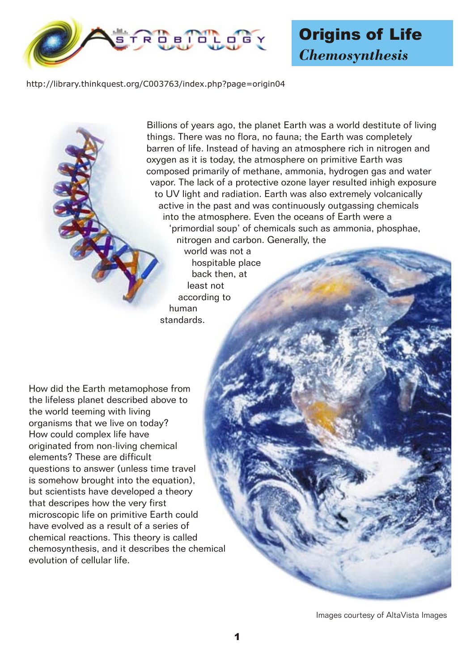

## Origins of Life *Chemosynthesis*

http://library.thinkquest.org/C003763/index.php?page=origin04

Billions of years ago, the planet Earth was a world destitute of living things. There was no flora, no fauna; the Earth was completely barren of life. Instead of having an atmosphere rich in nitrogen and oxygen as it is today, the atmosphere on primitive Earth was composed primarily of methane, ammonia, hydrogen gas and water vapor. The lack of a protective ozone layer resulted inhigh exposure to UV light and radiation. Earth was also extremely volcanically active in the past and was continuously outgassing chemicals into the atmosphere. Even the oceans of Earth were a 'primordial soup' of chemicals such as ammonia, phosphae, nitrogen and carbon. Generally, the

world was not a hospitable place back then, at least not according to human standards.

How did the Earth metamophose from the lifeless planet described above to the world teeming with living organisms that we live on today? How could complex life have originated from non-living chemical elements? These are difficult questions to answer (unless time travel is somehow brought into the equation), but scientists have developed a theory that descripes how the very first microscopic life on primitive Earth could have evolved as a result of a series of chemical reactions. This theory is called chemosynthesis, and it describes the chemical evolution of cellular life.

Images courtesy of AltaVista Images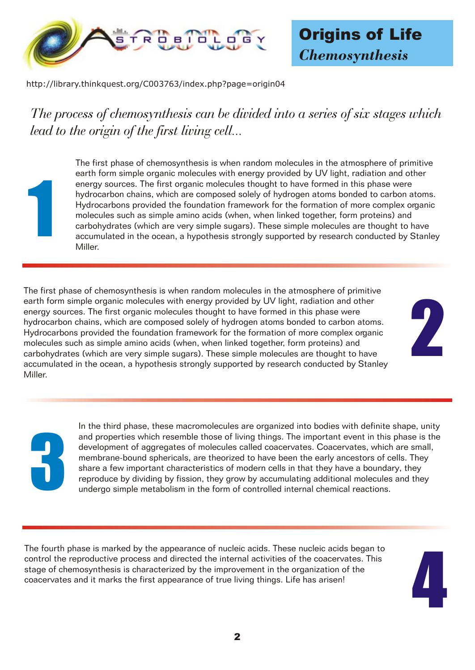

http://library.thinkquest.org/C003763/index.php?page=origin04

*The process of chemosynthesis can be divided into a series of six stages which lead to the origin of the first living cell...*

1

The first phase of chemosynthesis is when random molecules in the atmosphere of primitive earth form simple organic molecules with energy provided by UV light, radiation and other energy sources. The first organic molecules thought to have formed in this phase were hydrocarbon chains, which are composed solely of hydrogen atoms bonded to carbon atoms. Hydrocarbons provided the foundation framework for the formation of more complex organic molecules such as simple amino acids (when, when linked together, form proteins) and carbohydrates (which are very simple sugars). These simple molecules are thought to have accumulated in the ocean, a hypothesis strongly supported by research conducted by Stanley Miller.

The first phase of chemosynthesis is when random molecules in the atmosphere of primitive earth form simple organic molecules with energy provided by UV light, radiation and other energy sources. The first organic molecules thought to have formed in this phase were hydrocarbon chains, which are composed solely of hydrogen atoms bonded to carbon atoms. Hydrocarbons provided the foundation framework for the formation of more complex organic molecules such as simple amino acids (when, when linked together, form proteins) and carbohydrates (which are very simple sugars). These simple molecules are thought to have accumulated in the ocean, a hypothesis strongly supported by research conducted by Stanley Miller.

2

3

In the third phase, these macromolecules are organized into bodies with definite shape, unity and properties which resemble those of living things. The important event in this phase is the development of aggregates of molecules called coacervates. Coacervates, which are small, membrane-bound sphericals, are theorized to have been the early ancestors of cells. They share a few important characteristics of modern cells in that they have a boundary, they reproduce by dividing by fission, they grow by accumulating additional molecules and they undergo simple metabolism in the form of controlled internal chemical reactions.

The fourth phase is marked by the appearance of nucleic acids. These nucleic acids began to control the reproductive process and directed the internal activities of the coacervates. This stage of chemosynthesis is characterized by the improvement in the organization of the coacervates and it marks the first appearance of true living things. Life has arisen!